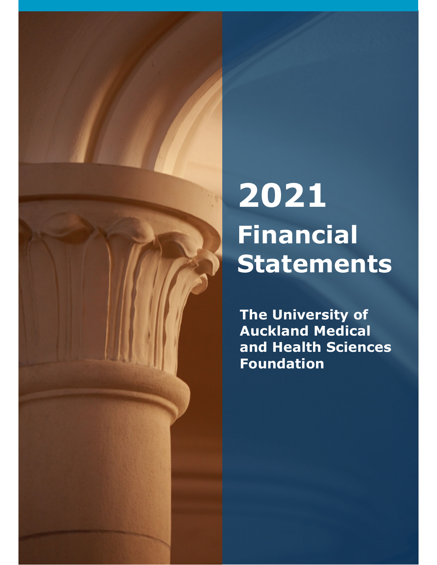# **2021 Financial Statements**

**The University of Auckland Medical and Health Sciences Foundation**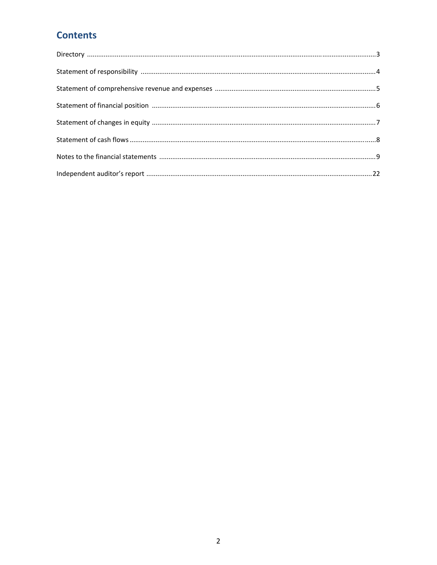## **Contents**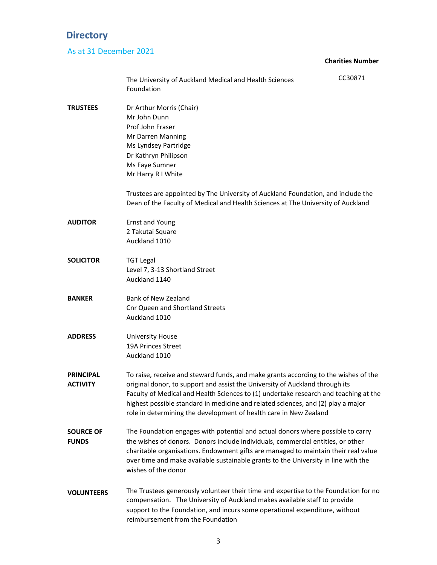## **Directory**

### As at 31 December 2021

#### **Charities Number**

|                                  | The University of Auckland Medical and Health Sciences<br>Foundation                                                                                                                                                                                                                                                                                                                                                 | CC30871 |
|----------------------------------|----------------------------------------------------------------------------------------------------------------------------------------------------------------------------------------------------------------------------------------------------------------------------------------------------------------------------------------------------------------------------------------------------------------------|---------|
| TRUSTEES                         | Dr Arthur Morris (Chair)<br>Mr John Dunn<br>Prof John Fraser<br>Mr Darren Manning<br>Ms Lyndsey Partridge<br>Dr Kathryn Philipson<br>Ms Faye Sumner<br>Mr Harry R I White                                                                                                                                                                                                                                            |         |
|                                  | Trustees are appointed by The University of Auckland Foundation, and include the<br>Dean of the Faculty of Medical and Health Sciences at The University of Auckland                                                                                                                                                                                                                                                 |         |
| <b>AUDITOR</b>                   | <b>Ernst and Young</b><br>2 Takutai Square<br>Auckland 1010                                                                                                                                                                                                                                                                                                                                                          |         |
| <b>SOLICITOR</b>                 | <b>TGT Legal</b><br>Level 7, 3-13 Shortland Street<br>Auckland 1140                                                                                                                                                                                                                                                                                                                                                  |         |
| <b>BANKER</b>                    | <b>Bank of New Zealand</b><br><b>Cnr Queen and Shortland Streets</b><br>Auckland 1010                                                                                                                                                                                                                                                                                                                                |         |
| ADDRESS                          | <b>University House</b><br>19A Princes Street<br>Auckland 1010                                                                                                                                                                                                                                                                                                                                                       |         |
| PRINCIPAL<br>ACTIVITY            | To raise, receive and steward funds, and make grants according to the wishes of the<br>original donor, to support and assist the University of Auckland through its<br>Faculty of Medical and Health Sciences to (1) undertake research and teaching at the<br>highest possible standard in medicine and related sciences, and (2) play a major<br>role in determining the development of health care in New Zealand |         |
| <b>SOURCE OF</b><br><b>FUNDS</b> | The Foundation engages with potential and actual donors where possible to carry<br>the wishes of donors. Donors include individuals, commercial entities, or other<br>charitable organisations. Endowment gifts are managed to maintain their real value<br>over time and make available sustainable grants to the University in line with the<br>wishes of the donor                                                |         |
| VOLUNTEERS                       | The Trustees generously volunteer their time and expertise to the Foundation for no<br>compensation. The University of Auckland makes available staff to provide<br>support to the Foundation, and incurs some operational expenditure, without<br>reimbursement from the Foundation                                                                                                                                 |         |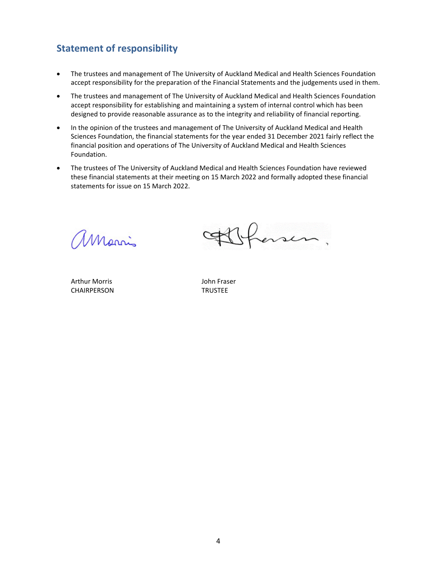## **Statement of responsibility**

- The trustees and management of The University of Auckland Medical and Health Sciences Foundation accept responsibility for the preparation of the Financial Statements and the judgements used in them.
- The trustees and management of The University of Auckland Medical and Health Sciences Foundation accept responsibility for establishing and maintaining a system of internal control which has been designed to provide reasonable assurance as to the integrity and reliability of financial reporting.
- In the opinion of the trustees and management of The University of Auckland Medical and Health Sciences Foundation, the financial statements for the year ended 31 December 2021 fairly reflect the financial position and operations of The University of Auckland Medical and Health Sciences Foundation.
- The trustees of The University of Auckland Medical and Health Sciences Foundation have reviewed these financial statements at their meeting on 15 March 2022 and formally adopted these financial statements for issue on 15 March 2022.

 $\overline{\phantom{a}}$   $\overline{\phantom{a}}$   $\overline{\phantom{a}}$   $\overline{\phantom{a}}$   $\overline{\phantom{a}}$   $\overline{\phantom{a}}$   $\overline{\phantom{a}}$   $\overline{\phantom{a}}$   $\overline{\phantom{a}}$   $\overline{\phantom{a}}$   $\overline{\phantom{a}}$   $\overline{\phantom{a}}$   $\overline{\phantom{a}}$   $\overline{\phantom{a}}$   $\overline{\phantom{a}}$   $\overline{\phantom{a}}$   $\overline{\phantom{a}}$   $\overline{\phantom{a}}$   $\overline{\$ 

Arthur Morris **1988 1988** John Fraser CHAIRPERSON TRUSTEE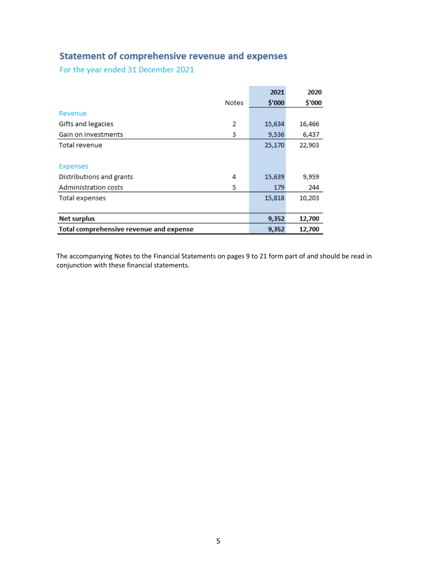## **Statement of comprehensive revenue and expenses**

For the year ended 31 December 2021

|                                         |              | 2021   | 2020   |
|-----------------------------------------|--------------|--------|--------|
|                                         | <b>Notes</b> | \$'000 | \$'000 |
| Revenue                                 |              |        |        |
| Gifts and legacies                      | 2            | 15,634 | 16,466 |
| Gain on investments                     | 3            | 9,536  | 6,437  |
| Total revenue                           |              | 25,170 | 22,903 |
|                                         |              |        |        |
| <b>Expenses</b>                         |              |        |        |
| Distributions and grants                | 4            | 15,639 | 9,959  |
| <b>Administration costs</b>             | 5            | 179    | 244    |
| <b>Total expenses</b>                   |              | 15,818 | 10,203 |
|                                         |              |        |        |
| <b>Net surplus</b>                      |              | 9,352  | 12,700 |
| Total comprehensive revenue and expense |              | 9,352  | 12,700 |

The accompanying Notes to the Financial Statements on pages 9 to 21 form part of and should be read in conjunction with these financial statements.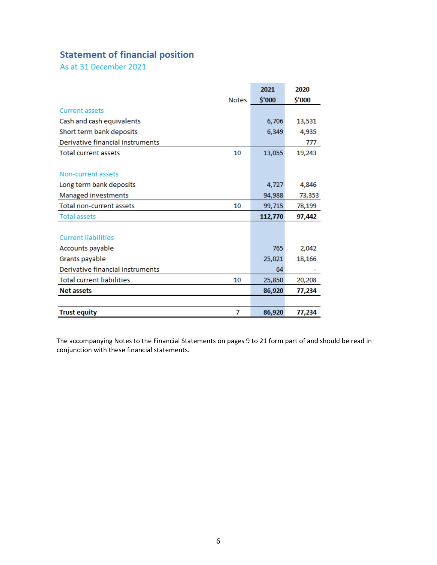## **Statement of financial position**

As at 31 December 2021

|                                        | 2021    | 2020   |
|----------------------------------------|---------|--------|
| <b>Notes</b>                           | \$'000  | \$'000 |
| <b>Current assets</b>                  |         |        |
| Cash and cash equivalents              | 6,706   | 13,531 |
| Short term bank deposits               | 6,349   | 4,935  |
| Derivative financial instruments       |         | 777    |
| <b>Total current assets</b><br>10      | 13,055  | 19,243 |
|                                        |         |        |
| Non-current assets                     |         |        |
| Long term bank deposits                | 4,727   | 4,846  |
| Managed investments                    | 94,988  | 73,353 |
| Total non-current assets<br>10         | 99,715  | 78,199 |
| <b>Total assets</b>                    | 112,770 | 97,442 |
|                                        |         |        |
| <b>Current liabilities</b>             |         |        |
| Accounts payable                       | 765     | 2,042  |
| Grants payable                         | 25,021  | 18,166 |
| Derivative financial instruments       | 64      |        |
| <b>Total current liabilities</b><br>10 | 25,850  | 20,208 |
| <b>Net assets</b>                      | 86,920  | 77,234 |
|                                        |         |        |
| <b>Trust equity</b><br>7               | 86,920  | 77,234 |

The accompanying Notes to the Financial Statements on pages 9 to 21 form part of and should be read in conjunction with these financial statements.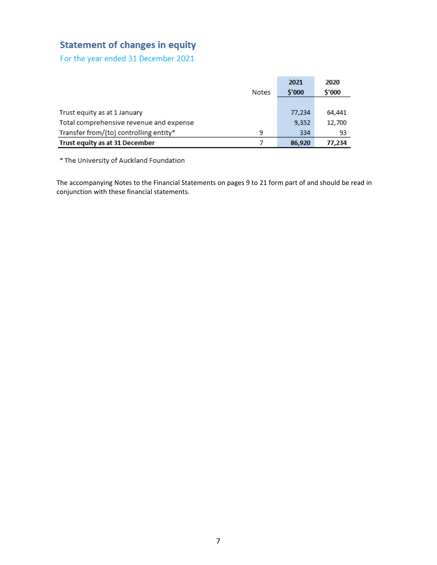## **Statement of changes in equity**

For the year ended 31 December 2021

|                                         |              | 2021   | 2020   |
|-----------------------------------------|--------------|--------|--------|
|                                         | <b>Notes</b> | \$'000 | \$'000 |
|                                         |              |        |        |
| Trust equity as at 1 January            |              | 77,234 | 64,441 |
| Total comprehensive revenue and expense |              | 9,352  | 12,700 |
| Transfer from/(to) controlling entity*  | 9            | 334    | 93     |
| Trust equity as at 31 December          |              | 86,920 | 77,234 |

\* The University of Auckland Foundation

The accompanying Notes to the Financial Statements on pages 9 to 21 form part of and should be read in conjunction with these financial statements.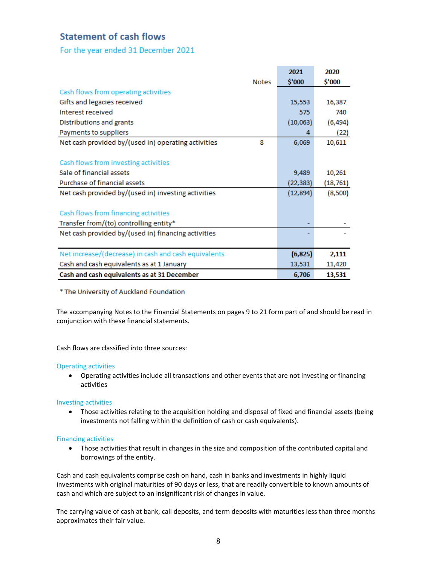#### **Statement of cash flows**

For the year ended 31 December 2021

|                                                          | 2021      | 2020      |
|----------------------------------------------------------|-----------|-----------|
| <b>Notes</b>                                             | \$'000    | \$'000    |
| Cash flows from operating activities                     |           |           |
| Gifts and legacies received                              | 15,553    | 16,387    |
| Interest received                                        | 575       | 740       |
| Distributions and grants                                 | (10,063)  | (6, 494)  |
| Payments to suppliers                                    | 4         | (22)      |
| Net cash provided by/(used in) operating activities<br>8 | 6,069     | 10,611    |
|                                                          |           |           |
| Cash flows from investing activities                     |           |           |
| Sale of financial assets                                 | 9,489     | 10,261    |
| Purchase of financial assets                             | (22,383)  | (18, 761) |
| Net cash provided by/(used in) investing activities      | (12, 894) | (8,500)   |
|                                                          |           |           |
| Cash flows from financing activities                     |           |           |
| Transfer from/(to) controlling entity*                   |           |           |
| Net cash provided by/(used in) financing activities      |           |           |
|                                                          |           |           |
| Net increase/(decrease) in cash and cash equivalents     | (6, 825)  | 2,111     |
| Cash and cash equivalents as at 1 January                | 13,531    | 11,420    |
| Cash and cash equivalents as at 31 December              | 6,706     | 13,531    |

\* The University of Auckland Foundation

The accompanying Notes to the Financial Statements on pages 9 to 21 form part of and should be read in conjunction with these financial statements.

Cash flows are classified into three sources:

#### Operating activities

 Operating activities include all transactions and other events that are not investing or financing activities

#### Investing activities

 Those activities relating to the acquisition holding and disposal of fixed and financial assets (being investments not falling within the definition of cash or cash equivalents).

#### Financing activities

 Those activities that result in changes in the size and composition of the contributed capital and borrowings of the entity.

Cash and cash equivalents comprise cash on hand, cash in banks and investments in highly liquid investments with original maturities of 90 days or less, that are readily convertible to known amounts of cash and which are subject to an insignificant risk of changes in value.

The carrying value of cash at bank, call deposits, and term deposits with maturities less than three months approximates their fair value.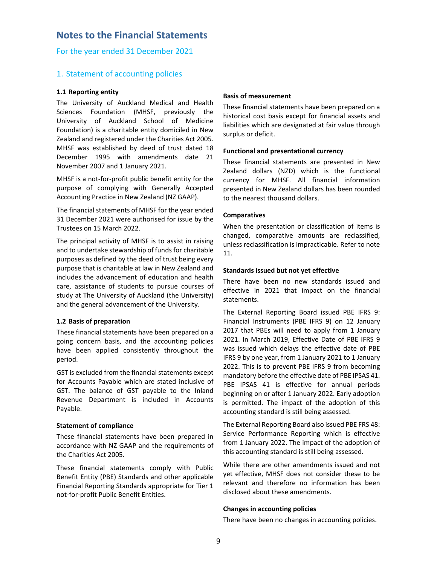#### **Notes to the Financial Statements**

For the year ended 31 December 2021

#### 1. Statement of accounting policies

#### **1.1 Reporting entity**

The University of Auckland Medical and Health Sciences Foundation (MHSF, previously the University of Auckland School of Medicine Foundation) is a charitable entity domiciled in New Zealand and registered under the Charities Act 2005. MHSF was established by deed of trust dated 18 December 1995 with amendments date 21 November 2007 and 1 January 2021.

MHSF is a not‐for‐profit public benefit entity for the purpose of complying with Generally Accepted Accounting Practice in New Zealand (NZ GAAP).

The financial statements of MHSF for the year ended 31 December 2021 were authorised for issue by the Trustees on 15 March 2022.

The principal activity of MHSF is to assist in raising and to undertake stewardship of funds for charitable purposes as defined by the deed of trust being every purpose that is charitable at law in New Zealand and includes the advancement of education and health care, assistance of students to pursue courses of study at The University of Auckland (the University) and the general advancement of the University.

#### **1.2 Basis of preparation**

These financial statements have been prepared on a going concern basis, and the accounting policies have been applied consistently throughout the period.

GST is excluded from the financial statements except for Accounts Payable which are stated inclusive of GST. The balance of GST payable to the Inland Revenue Department is included in Accounts Payable.

#### **Statement of compliance**

These financial statements have been prepared in accordance with NZ GAAP and the requirements of the Charities Act 2005.

These financial statements comply with Public Benefit Entity (PBE) Standards and other applicable Financial Reporting Standards appropriate for Tier 1 not‐for‐profit Public Benefit Entities.

#### **Basis of measurement**

These financial statements have been prepared on a historical cost basis except for financial assets and liabilities which are designated at fair value through surplus or deficit.

#### **Functional and presentational currency**

These financial statements are presented in New Zealand dollars (NZD) which is the functional currency for MHSF. All financial information presented in New Zealand dollars has been rounded to the nearest thousand dollars.

#### **Comparatives**

When the presentation or classification of items is changed, comparative amounts are reclassified, unless reclassification is impracticable. Refer to note 11.

#### **Standards issued but not yet effective**

There have been no new standards issued and effective in 2021 that impact on the financial statements.

The External Reporting Board issued PBE IFRS 9: Financial Instruments (PBE IFRS 9) on 12 January 2017 that PBEs will need to apply from 1 January 2021. In March 2019, Effective Date of PBE IFRS 9 was issued which delays the effective date of PBE IFRS 9 by one year, from 1 January 2021 to 1 January 2022. This is to prevent PBE IFRS 9 from becoming mandatory before the effective date of PBE IPSAS 41. PBE IPSAS 41 is effective for annual periods beginning on or after 1 January 2022. Early adoption is permitted. The impact of the adoption of this accounting standard is still being assessed.

The External Reporting Board also issued PBE FRS 48: Service Performance Reporting which is effective from 1 January 2022. The impact of the adoption of this accounting standard is still being assessed.

While there are other amendments issued and not yet effective, MHSF does not consider these to be relevant and therefore no information has been disclosed about these amendments.

#### **Changes in accounting policies**

There have been no changes in accounting policies.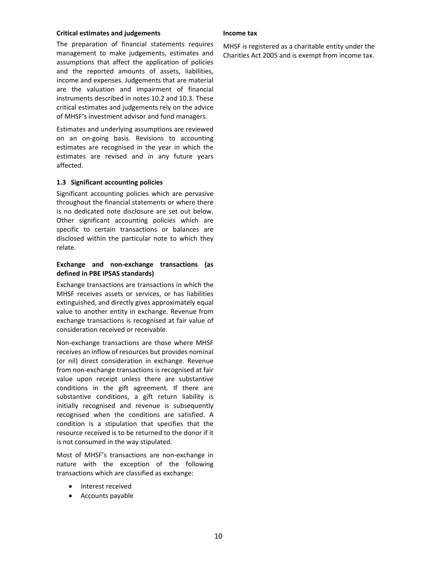#### **Critical estimates and judgements**

The preparation of financial statements requires management to make judgements, estimates and assumptions that affect the application of policies and the reported amounts of assets, liabilities, income and expenses. Judgements that are material are the valuation and impairment of financial instruments described in notes 10.2 and 10.3. These critical estimates and judgements rely on the advice of MHSF's investment advisor and fund managers.

Estimates and underlying assumptions are reviewed on an on‐going basis. Revisions to accounting estimates are recognised in the year in which the estimates are revised and in any future years affected.

#### **1.3 Significant accounting policies**

Significant accounting policies which are pervasive throughout the financial statements or where there is no dedicated note disclosure are set out below. Other significant accounting policies which are specific to certain transactions or balances are disclosed within the particular note to which they relate.

#### **Exchange and non‐exchange transactions (as defined in PBE IPSAS standards)**

Exchange transactions are transactions in which the MHSF receives assets or services, or has liabilities extinguished, and directly gives approximately equal value to another entity in exchange. Revenue from exchange transactions is recognised at fair value of consideration received or receivable.

Non‐exchange transactions are those where MHSF receives an inflow of resources but provides nominal (or nil) direct consideration in exchange. Revenue from non‐exchange transactions is recognised at fair value upon receipt unless there are substantive conditions in the gift agreement. If there are substantive conditions, a gift return liability is initially recognised and revenue is subsequently recognised when the conditions are satisfied. A condition is a stipulation that specifies that the resource received is to be returned to the donor if it is not consumed in the way stipulated.

Most of MHSF's transactions are non‐exchange in nature with the exception of the following transactions which are classified as exchange:

- Interest received
- Accounts payable

#### **Income tax**

MHSF is registered as a charitable entity under the Charities Act 2005 and is exempt from income tax.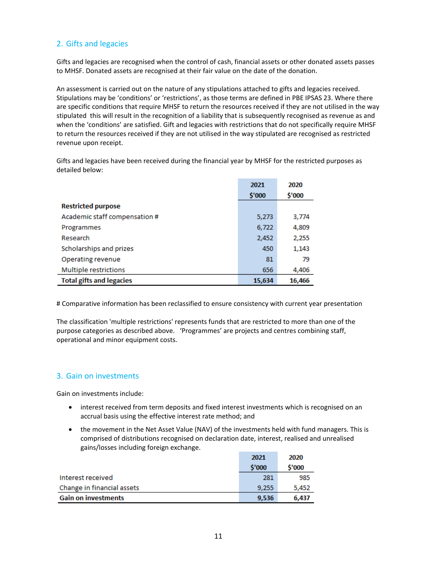#### 2. Gifts and legacies

Gifts and legacies are recognised when the control of cash, financial assets or other donated assets passes to MHSF. Donated assets are recognised at their fair value on the date of the donation.

An assessment is carried out on the nature of any stipulations attached to gifts and legacies received. Stipulations may be 'conditions' or 'restrictions', as those terms are defined in PBE IPSAS 23. Where there are specific conditions that require MHSF to return the resources received if they are not utilised in the way stipulated this will result in the recognition of a liability that is subsequently recognised as revenue as and when the 'conditions' are satisfied. Gift and legacies with restrictions that do not specifically require MHSF to return the resources received if they are not utilised in the way stipulated are recognised as restricted revenue upon receipt.

Gifts and legacies have been received during the financial year by MHSF for the restricted purposes as detailed below:

|                                 | 2021   | 2020   |
|---------------------------------|--------|--------|
|                                 | \$'000 | \$'000 |
| <b>Restricted purpose</b>       |        |        |
| Academic staff compensation #   | 5,273  | 3,774  |
| Programmes                      | 6,722  | 4,809  |
| Research                        | 2,452  | 2,255  |
| Scholarships and prizes         | 450    | 1,143  |
| Operating revenue               | 81     | 79     |
| Multiple restrictions           | 656    | 4,406  |
| <b>Total gifts and legacies</b> | 15,634 | 16,466 |

# Comparative information has been reclassified to ensure consistency with current year presentation

The classification 'multiple restrictions' represents funds that are restricted to more than one of the purpose categories as described above. 'Programmes' are projects and centres combining staff, operational and minor equipment costs.

#### 3. Gain on investments

Gain on investments include:

- interest received from term deposits and fixed interest investments which is recognised on an accrual basis using the effective interest rate method; and
- the movement in the Net Asset Value (NAV) of the investments held with fund managers. This is comprised of distributions recognised on declaration date, interest, realised and unrealised gains/losses including foreign exchange.

|                            | 2021   | 2020   |
|----------------------------|--------|--------|
|                            | \$'000 | \$'000 |
| Interest received          | 281    | 985    |
| Change in financial assets | 9.255  | 5,452  |
| <b>Gain on investments</b> | 9,536  | 6,437  |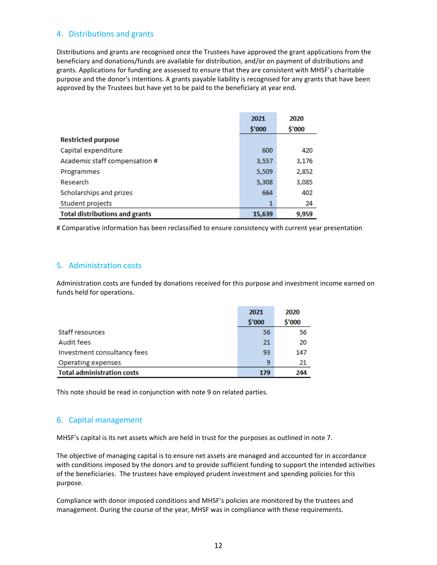#### 4. Distributions and grants

Distributions and grants are recognised once the Trustees have approved the grant applications from the beneficiary and donations/funds are available for distribution, and/or on payment of distributions and grants. Applications for funding are assessed to ensure that they are consistent with MHSF's charitable purpose and the donor's intentions. A grants payable liability is recognised for any grants that have been approved by the Trustees but have yet to be paid to the beneficiary at year end.

|                                       | 2021<br>\$'000 | 2020<br>\$'000 |
|---------------------------------------|----------------|----------------|
| <b>Restricted purpose</b>             |                |                |
| Capital expenditure                   | 600            | 420            |
| Academic staff compensation #         | 3,557          | 3,176          |
| Programmes                            | 5,509          | 2,852          |
| Research                              | 5,308          | 3,085          |
| Scholarships and prizes               | 664            | 402            |
| Student projects                      |                | 24             |
| <b>Total distributions and grants</b> | 15,639         | 9,959          |

# Comparative information has been reclassified to ensure consistency with current year presentation

#### 5. Administration costs

Administration costs are funded by donations received for this purpose and investment income earned on funds held for operations.

|                                   | 2021   | 2020   |
|-----------------------------------|--------|--------|
|                                   | \$'000 | \$'000 |
| Staff resources                   | 56     | 56     |
| Audit fees                        | 21     | 20     |
| Investment consultancy fees       | 93     | 147    |
| Operating expenses                | 9      | 21     |
| <b>Total administration costs</b> | 179    | 244    |

This note should be read in conjunction with note 9 on related parties.

#### 6. Capital management

MHSF's capital is its net assets which are held in trust for the purposes as outlined in note 7.

The objective of managing capital is to ensure net assets are managed and accounted for in accordance with conditions imposed by the donors and to provide sufficient funding to support the intended activities of the beneficiaries. The trustees have employed prudent investment and spending policies for this purpose.

Compliance with donor imposed conditions and MHSF's policies are monitored by the trustees and management. During the course of the year, MHSF was in compliance with these requirements.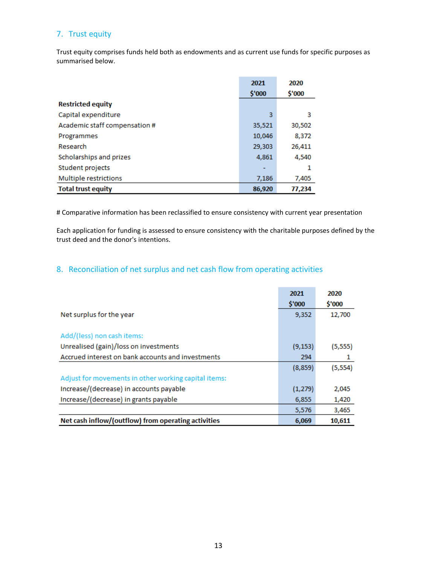#### 7. Trust equity

Trust equity comprises funds held both as endowments and as current use funds for specific purposes as summarised below.

|                               | 2021   | 2020   |
|-------------------------------|--------|--------|
|                               | \$'000 | \$'000 |
| <b>Restricted equity</b>      |        |        |
| Capital expenditure           | 3      | 3      |
| Academic staff compensation # | 35,521 | 30,502 |
| Programmes                    | 10,046 | 8,372  |
| Research                      | 29,303 | 26,411 |
| Scholarships and prizes       | 4,861  | 4,540  |
| Student projects              |        | 1      |
| Multiple restrictions         | 7,186  | 7,405  |
| <b>Total trust equity</b>     | 86,920 | 77,234 |

# Comparative information has been reclassified to ensure consistency with current year presentation

Each application for funding is assessed to ensure consistency with the charitable purposes defined by the trust deed and the donor's intentions.

#### 8. Reconciliation of net surplus and net cash flow from operating activities

|                                                      | 2021<br>\$'000 | 2020<br>\$'000 |
|------------------------------------------------------|----------------|----------------|
| Net surplus for the year                             | 9,352          | 12,700         |
|                                                      |                |                |
| Add/(less) non cash items:                           |                |                |
| Unrealised (gain)/loss on investments                | (9, 153)       | (5, 555)       |
| Accrued interest on bank accounts and investments    | 294            |                |
|                                                      | (8,859)        | (5, 554)       |
| Adjust for movements in other working capital items: |                |                |
| Increase/(decrease) in accounts payable              | (1, 279)       | 2,045          |
| Increase/(decrease) in grants payable                | 6,855          | 1,420          |
|                                                      | 5,576          | 3,465          |
| Net cash inflow/(outflow) from operating activities  | 6,069          | 10,611         |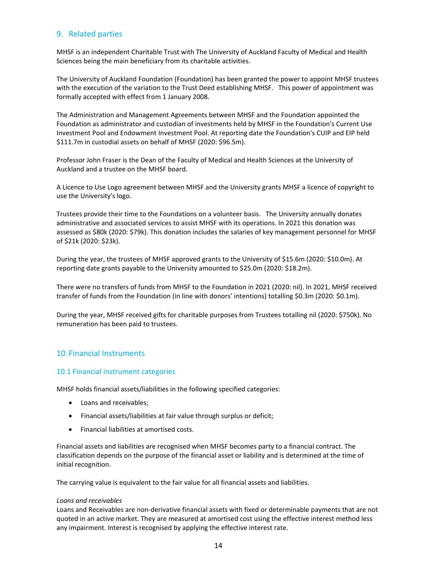#### 9. Related parties

MHSF is an independent Charitable Trust with The University of Auckland Faculty of Medical and Health Sciences being the main beneficiary from its charitable activities.

The University of Auckland Foundation (Foundation) has been granted the power to appoint MHSF trustees with the execution of the variation to the Trust Deed establishing MHSF. This power of appointment was formally accepted with effect from 1 January 2008.

The Administration and Management Agreements between MHSF and the Foundation appointed the Foundation as administrator and custodian of investments held by MHSF in the Foundation's Current Use Investment Pool and Endowment Investment Pool. At reporting date the Foundation's CUIP and EIP held \$111.7m in custodial assets on behalf of MHSF (2020: \$96.5m).

Professor John Fraser is the Dean of the Faculty of Medical and Health Sciences at the University of Auckland and a trustee on the MHSF board.

A Licence to Use Logo agreement between MHSF and the University grants MHSF a licence of copyright to use the University's logo.

Trustees provide their time to the Foundations on a volunteer basis. The University annually donates administrative and associated services to assist MHSF with its operations. In 2021 this donation was assessed as \$80k (2020: \$79k). This donation includes the salaries of key management personnel for MHSF of \$21k (2020: \$23k).

During the year, the trustees of MHSF approved grants to the University of \$15.6m (2020: \$10.0m). At reporting date grants payable to the University amounted to \$25.0m (2020: \$18.2m).

There were no transfers of funds from MHSF to the Foundation in 2021 (2020: nil). In 2021, MHSF received transfer of funds from the Foundation (in line with donors' intentions) totalling \$0.3m (2020: \$0.1m).

During the year, MHSF received gifts for charitable purposes from Trustees totalling nil (2020: \$750k). No remuneration has been paid to trustees.

#### 10. Financial Instruments

#### 10.1 Financial instrument categories

MHSF holds financial assets/liabilities in the following specified categories:

- Loans and receivables;
- Financial assets/liabilities at fair value through surplus or deficit;
- Financial liabilities at amortised costs.

Financial assets and liabilities are recognised when MHSF becomes party to a financial contract. The classification depends on the purpose of the financial asset or liability and is determined at the time of initial recognition.

The carrying value is equivalent to the fair value for all financial assets and liabilities.

#### *Loans and receivables*

Loans and Receivables are non‐derivative financial assets with fixed or determinable payments that are not quoted in an active market. They are measured at amortised cost using the effective interest method less any impairment. Interest is recognised by applying the effective interest rate.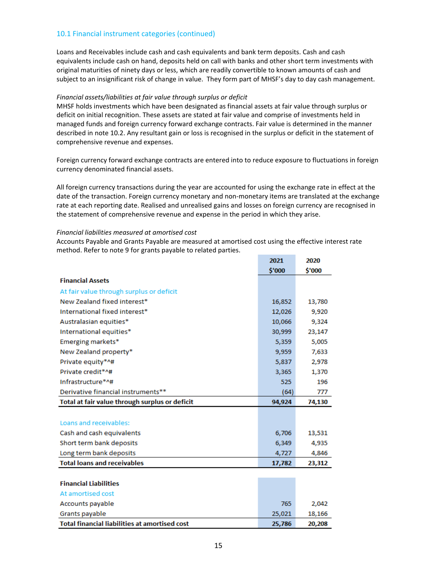#### 10.1 Financial instrument categories (continued)

Loans and Receivables include cash and cash equivalents and bank term deposits. Cash and cash equivalents include cash on hand, deposits held on call with banks and other short term investments with original maturities of ninety days or less, which are readily convertible to known amounts of cash and subject to an insignificant risk of change in value. They form part of MHSF's day to day cash management.

#### *Financial assets/liabilities at fair value through surplus or deficit*

MHSF holds investments which have been designated as financial assets at fair value through surplus or deficit on initial recognition. These assets are stated at fair value and comprise of investments held in managed funds and foreign currency forward exchange contracts. Fair value is determined in the manner described in note 10.2. Any resultant gain or loss is recognised in the surplus or deficit in the statement of comprehensive revenue and expenses.

Foreign currency forward exchange contracts are entered into to reduce exposure to fluctuations in foreign currency denominated financial assets.

All foreign currency transactions during the year are accounted for using the exchange rate in effect at the date of the transaction. Foreign currency monetary and non‐monetary items are translated at the exchange rate at each reporting date. Realised and unrealised gains and losses on foreign currency are recognised in the statement of comprehensive revenue and expense in the period in which they arise.

#### *Financial liabilities measured at amortised cost*

Accounts Payable and Grants Payable are measured at amortised cost using the effective interest rate method. Refer to note 9 for grants payable to related parties.

|                                                      | 2021   | 2020   |
|------------------------------------------------------|--------|--------|
|                                                      | \$'000 | \$'000 |
| <b>Financial Assets</b>                              |        |        |
| At fair value through surplus or deficit             |        |        |
| New Zealand fixed interest*                          | 16,852 | 13,780 |
| International fixed interest*                        | 12,026 | 9,920  |
| Australasian equities*                               | 10,066 | 9,324  |
| International equities*                              | 30,999 | 23,147 |
| Emerging markets*                                    | 5,359  | 5,005  |
| New Zealand property*                                | 9,959  | 7,633  |
| Private equity*^#                                    | 5,837  | 2,978  |
| Private credit*^#                                    | 3,365  | 1,370  |
| Infrastructure*^#                                    | 525    | 196    |
| Derivative financial instruments**                   | (64)   | 777    |
| Total at fair value through surplus or deficit       | 94,924 | 74,130 |
|                                                      |        |        |
| Loans and receivables:                               |        |        |
| Cash and cash equivalents                            | 6,706  | 13,531 |
| Short term bank deposits                             | 6,349  | 4,935  |
| Long term bank deposits                              | 4,727  | 4,846  |
| <b>Total loans and receivables</b>                   | 17,782 | 23,312 |
|                                                      |        |        |
| <b>Financial Liabilities</b>                         |        |        |
| At amortised cost                                    |        |        |
| Accounts payable                                     | 765    | 2,042  |
| Grants payable                                       | 25,021 | 18,166 |
| <b>Total financial liabilities at amortised cost</b> | 25,786 | 20,208 |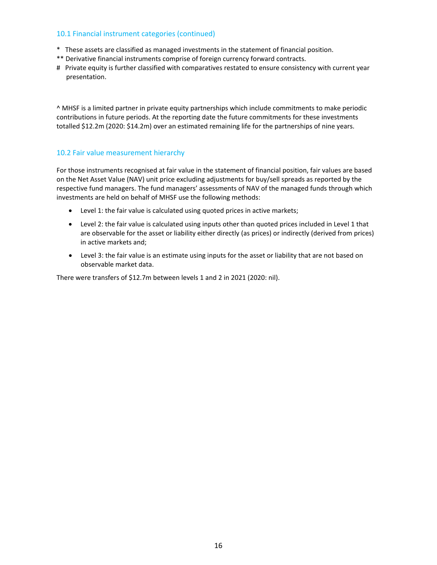#### 10.1 Financial instrument categories (continued)

- \* These assets are classified as managed investments in the statement of financial position.
- \*\* Derivative financial instruments comprise of foreign currency forward contracts.
- # Private equity is further classified with comparatives restated to ensure consistency with current year presentation.

^ MHSF is a limited partner in private equity partnerships which include commitments to make periodic contributions in future periods. At the reporting date the future commitments for these investments totalled \$12.2m (2020: \$14.2m) over an estimated remaining life for the partnerships of nine years.

#### 10.2 Fair value measurement hierarchy

For those instruments recognised at fair value in the statement of financial position, fair values are based on the Net Asset Value (NAV) unit price excluding adjustments for buy/sell spreads as reported by the respective fund managers. The fund managers' assessments of NAV of the managed funds through which investments are held on behalf of MHSF use the following methods:

- Level 1: the fair value is calculated using quoted prices in active markets;
- Level 2: the fair value is calculated using inputs other than quoted prices included in Level 1 that are observable for the asset or liability either directly (as prices) or indirectly (derived from prices) in active markets and;
- Level 3: the fair value is an estimate using inputs for the asset or liability that are not based on observable market data.

There were transfers of \$12.7m between levels 1 and 2 in 2021 (2020: nil).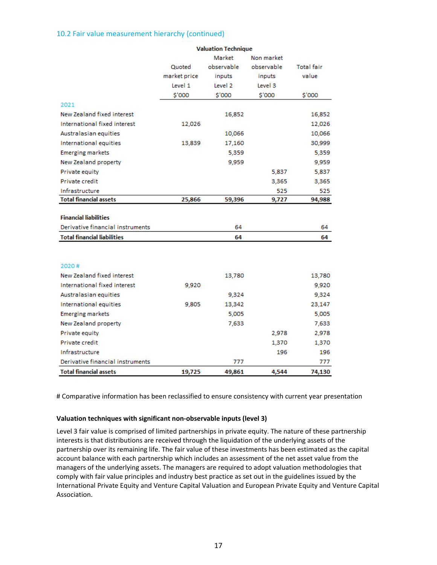#### 10.2 Fair value measurement hierarchy (continued)

|                                    | valuation Technique |            |            |                   |
|------------------------------------|---------------------|------------|------------|-------------------|
|                                    |                     | Market     | Non market |                   |
|                                    | Quoted              | observable | observable | <b>Total fair</b> |
|                                    | market price        | inputs     | inputs     | value             |
|                                    | Level 1             | Level 2    | Level 3    |                   |
|                                    | \$'000              | \$'000     | \$'000     | \$'000            |
| 2021                               |                     |            |            |                   |
| New Zealand fixed interest         |                     | 16,852     |            | 16,852            |
| International fixed interest       | 12,026              |            |            | 12,026            |
| Australasian equities              |                     | 10,066     |            | 10,066            |
| International equities             | 13,839              | 17,160     |            | 30,999            |
| <b>Emerging markets</b>            |                     | 5,359      |            | 5,359             |
| New Zealand property               |                     | 9,959      |            | 9,959             |
| Private equity                     |                     |            | 5,837      | 5,837             |
| Private credit                     |                     |            | 3,365      | 3,365             |
| Infrastructure                     |                     |            | 525        | 525               |
| <b>Total financial assets</b>      | 25,866              | 59,396     | 9,727      | 94,988            |
|                                    |                     |            |            |                   |
| <b>Financial liabilities</b>       |                     |            |            |                   |
| Derivative financial instruments   |                     | 64         |            | 64                |
| <b>Total financial liabilities</b> |                     | 64         |            | 64                |
|                                    |                     |            |            |                   |
|                                    |                     |            |            |                   |
| 2020#                              |                     |            |            |                   |
| New Zealand fixed interest         |                     | 13,780     |            | 13,780            |
| International fixed interest       | 9,920               |            |            | 9,920             |
| Australasian equities              |                     | 9,324      |            | 9,324             |
| International equities             | 9,805               | 13,342     |            | 23,147            |
| <b>Emerging markets</b>            |                     | 5,005      |            | 5,005             |
| New Zealand property               |                     | 7,633      |            | 7,633             |
| Private equity                     |                     |            | 2,978      | 2,978             |
| Private credit                     |                     |            | 1,370      | 1,370             |
| Infrastructure                     |                     |            | 196        | 196               |
| Derivative financial instruments   |                     | 777        |            | 777               |
| <b>Total financial assets</b>      | 19,725              | 49,861     | 4,544      | 74,130            |

#### **Valuation Technique**

# Comparative information has been reclassified to ensure consistency with current year presentation

#### **Valuation techniques with significant non‐observable inputs (level 3)**

Level 3 fair value is comprised of limited partnerships in private equity. The nature of these partnership interests is that distributions are received through the liquidation of the underlying assets of the partnership over its remaining life. The fair value of these investments has been estimated as the capital account balance with each partnership which includes an assessment of the net asset value from the managers of the underlying assets. The managers are required to adopt valuation methodologies that comply with fair value principles and industry best practice as set out in the guidelines issued by the International Private Equity and Venture Capital Valuation and European Private Equity and Venture Capital Association.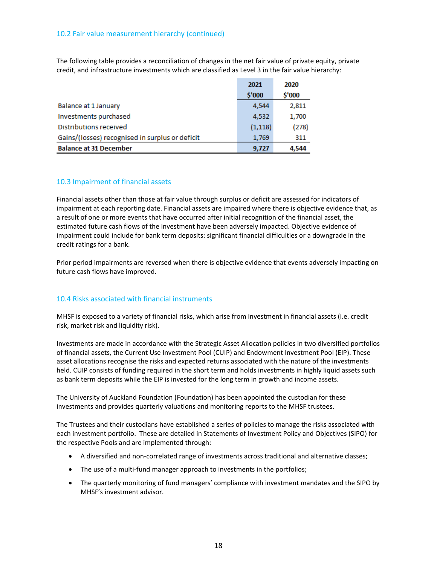#### 10.2 Fair value measurement hierarchy (continued)

The following table provides a reconciliation of changes in the net fair value of private equity, private credit, and infrastructure investments which are classified as Level 3 in the fair value hierarchy:

|                                                 | 2021     | 2020   |
|-------------------------------------------------|----------|--------|
|                                                 | \$'000   | \$'000 |
| Balance at 1 January                            | 4,544    | 2,811  |
| Investments purchased                           | 4.532    | 1,700  |
| Distributions received                          | (1, 118) | (278)  |
| Gains/(losses) recognised in surplus or deficit | 1.769    | 311    |
| <b>Balance at 31 December</b>                   | 9,727    | 4,544  |

#### 10.3 Impairment of financial assets

Financial assets other than those at fair value through surplus or deficit are assessed for indicators of impairment at each reporting date. Financial assets are impaired where there is objective evidence that, as a result of one or more events that have occurred after initial recognition of the financial asset, the estimated future cash flows of the investment have been adversely impacted. Objective evidence of impairment could include for bank term deposits: significant financial difficulties or a downgrade in the credit ratings for a bank.

Prior period impairments are reversed when there is objective evidence that events adversely impacting on future cash flows have improved.

#### 10.4 Risks associated with financial instruments

MHSF is exposed to a variety of financial risks, which arise from investment in financial assets (i.e. credit risk, market risk and liquidity risk).

Investments are made in accordance with the Strategic Asset Allocation policies in two diversified portfolios of financial assets, the Current Use Investment Pool (CUIP) and Endowment Investment Pool (EIP). These asset allocations recognise the risks and expected returns associated with the nature of the investments held. CUIP consists of funding required in the short term and holds investments in highly liquid assets such as bank term deposits while the EIP is invested for the long term in growth and income assets.

The University of Auckland Foundation (Foundation) has been appointed the custodian for these investments and provides quarterly valuations and monitoring reports to the MHSF trustees.

The Trustees and their custodians have established a series of policies to manage the risks associated with each investment portfolio. These are detailed in Statements of Investment Policy and Objectives (SIPO) for the respective Pools and are implemented through:

- A diversified and non-correlated range of investments across traditional and alternative classes;
- The use of a multi-fund manager approach to investments in the portfolios;
- The quarterly monitoring of fund managers' compliance with investment mandates and the SIPO by MHSF's investment advisor.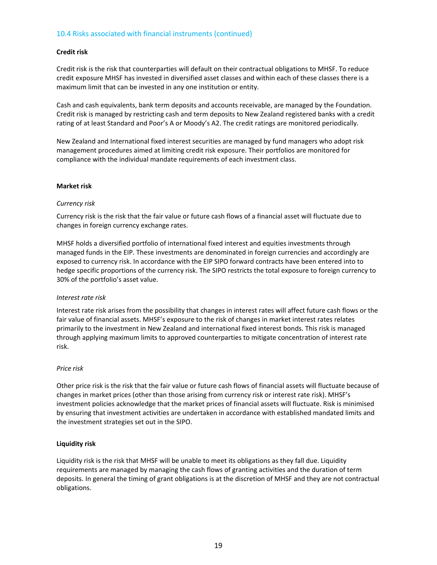#### 10.4 Risks associated with financial instruments (continued)

#### **Credit risk**

Credit risk is the risk that counterparties will default on their contractual obligations to MHSF. To reduce credit exposure MHSF has invested in diversified asset classes and within each of these classes there is a maximum limit that can be invested in any one institution or entity.

Cash and cash equivalents, bank term deposits and accounts receivable, are managed by the Foundation. Credit risk is managed by restricting cash and term deposits to New Zealand registered banks with a credit rating of at least Standard and Poor's A or Moody's A2. The credit ratings are monitored periodically.

New Zealand and International fixed interest securities are managed by fund managers who adopt risk management procedures aimed at limiting credit risk exposure. Their portfolios are monitored for compliance with the individual mandate requirements of each investment class.

#### **Market risk**

#### *Currency risk*

Currency risk is the risk that the fair value or future cash flows of a financial asset will fluctuate due to changes in foreign currency exchange rates.

MHSF holds a diversified portfolio of international fixed interest and equities investments through managed funds in the EIP. These investments are denominated in foreign currencies and accordingly are exposed to currency risk. In accordance with the EIP SIPO forward contracts have been entered into to hedge specific proportions of the currency risk. The SIPO restricts the total exposure to foreign currency to 30% of the portfolio's asset value.

#### *Interest rate risk*

Interest rate risk arises from the possibility that changes in interest rates will affect future cash flows or the fair value of financial assets. MHSF's exposure to the risk of changes in market interest rates relates primarily to the investment in New Zealand and international fixed interest bonds. This risk is managed through applying maximum limits to approved counterparties to mitigate concentration of interest rate risk.

#### *Price risk*

Other price risk is the risk that the fair value or future cash flows of financial assets will fluctuate because of changes in market prices (other than those arising from currency risk or interest rate risk). MHSF's investment policies acknowledge that the market prices of financial assets will fluctuate. Risk is minimised by ensuring that investment activities are undertaken in accordance with established mandated limits and the investment strategies set out in the SIPO.

#### **Liquidity risk**

Liquidity risk is the risk that MHSF will be unable to meet its obligations as they fall due. Liquidity requirements are managed by managing the cash flows of granting activities and the duration of term deposits. In general the timing of grant obligations is at the discretion of MHSF and they are not contractual obligations.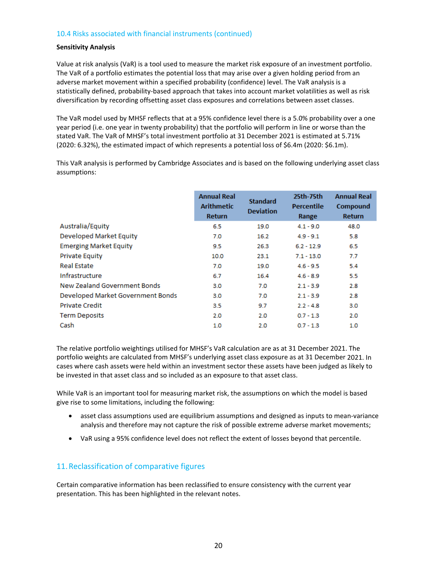#### 10.4 Risks associated with financial instruments (continued)

#### **Sensitivity Analysis**

Value at risk analysis (VaR) is a tool used to measure the market risk exposure of an investment portfolio. The VaR of a portfolio estimates the potential loss that may arise over a given holding period from an adverse market movement within a specified probability (confidence) level. The VaR analysis is a statistically defined, probability-based approach that takes into account market volatilities as well as risk diversification by recording offsetting asset class exposures and correlations between asset classes.

The VaR model used by MHSF reflects that at a 95% confidence level there is a 5.0% probability over a one year period (i.e. one year in twenty probability) that the portfolio will perform in line or worse than the stated VaR. The VaR of MHSF's total investment portfolio at 31 December 2021 is estimated at 5.71% (2020: 6.32%), the estimated impact of which represents a potential loss of \$6.4m (2020: \$6.1m).

This VaR analysis is performed by Cambridge Associates and is based on the following underlying asset class assumptions:

|                                   | <b>Annual Real</b><br><b>Arithmetic</b><br><b>Return</b> | <b>Standard</b><br><b>Deviation</b> | 25th-75th<br>Percentile<br>Range | <b>Annual Real</b><br>Compound<br><b>Return</b> |
|-----------------------------------|----------------------------------------------------------|-------------------------------------|----------------------------------|-------------------------------------------------|
| Australia/Equity                  | 6.5                                                      | 19.0                                | $4.1 - 9.0$                      | 48.0                                            |
| Developed Market Equity           | 7.0                                                      | 16.2                                | $4.9 - 9.1$                      | 5.8                                             |
| <b>Emerging Market Equity</b>     | 9.5                                                      | 26.3                                | $6.2 - 12.9$                     | 6.5                                             |
| <b>Private Equity</b>             | 10.0                                                     | 23.1                                | $7.1 - 13.0$                     | 7.7                                             |
| <b>Real Estate</b>                | 7.0                                                      | 19.0                                | $4.6 - 9.5$                      | 5.4                                             |
| Infrastructure                    | 6.7                                                      | 16.4                                | $4.6 - 8.9$                      | 5.5                                             |
| New Zealand Government Bonds      | 3.0                                                      | 7.0                                 | $2.1 - 3.9$                      | 2.8                                             |
| Developed Market Government Bonds | 3.0                                                      | 7.0                                 | $2.1 - 3.9$                      | 2.8                                             |
| <b>Private Credit</b>             | 3.5                                                      | 9.7                                 | $2.2 - 4.8$                      | 3.0                                             |
| <b>Term Deposits</b>              | 2.0                                                      | 2.0                                 | $0.7 - 1.3$                      | 2.0                                             |
| Cash                              | 1.0                                                      | 2.0                                 | $0.7 - 1.3$                      | 1.0                                             |

The relative portfolio weightings utilised for MHSF's VaR calculation are as at 31 December 2021. The portfolio weights are calculated from MHSF's underlying asset class exposure as at 31 December 2021. In cases where cash assets were held within an investment sector these assets have been judged as likely to be invested in that asset class and so included as an exposure to that asset class.

While VaR is an important tool for measuring market risk, the assumptions on which the model is based give rise to some limitations, including the following:

- asset class assumptions used are equilibrium assumptions and designed as inputs to mean‐variance analysis and therefore may not capture the risk of possible extreme adverse market movements;
- VaR using a 95% confidence level does not reflect the extent of losses beyond that percentile.

#### 11.Reclassification of comparative figures

Certain comparative information has been reclassified to ensure consistency with the current year presentation. This has been highlighted in the relevant notes.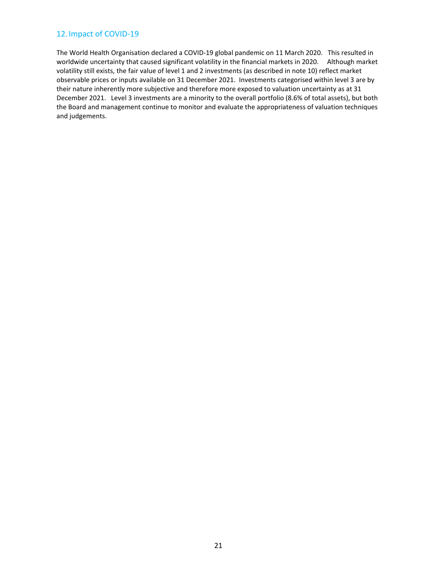#### 12.Impact of COVID‐19

The World Health Organisation declared a COVID-19 global pandemic on 11 March 2020. This resulted in worldwide uncertainty that caused significant volatility in the financial markets in 2020. Although market volatility still exists, the fair value of level 1 and 2 investments (as described in note 10) reflect market observable prices or inputs available on 31 December 2021. Investments categorised within level 3 are by their nature inherently more subjective and therefore more exposed to valuation uncertainty as at 31 December 2021. Level 3 investments are a minority to the overall portfolio (8.6% of total assets), but both the Board and management continue to monitor and evaluate the appropriateness of valuation techniques and judgements.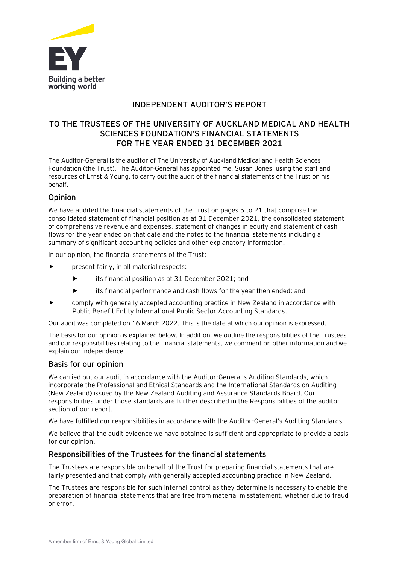

#### **INDEPENDENT AUDITOR'S REPORT**

#### **TO THE TRUSTEES OF THE UNIVERSITY OF AUCKLAND MEDICAL AND HEALTH SCIENCES FOUNDATION'S FINANCIAL STATEMENTS FOR THE YEAR ENDED 31 DECEMBER 2021**

The Auditor-General is the auditor of The University of Auckland Medical and Health Sciences Foundation (the Trust). The Auditor-General has appointed me, Susan Jones, using the staff and resources of Ernst & Young, to carry out the audit of the financial statements of the Trust on his behalf.

#### **Opinion**

We have audited the financial statements of the Trust on pages 5 to 21 that comprise the consolidated statement of financial position as at 31 December 2021, the consolidated statement of comprehensive revenue and expenses, statement of changes in equity and statement of cash flows for the year ended on that date and the notes to the financial statements including a summary of significant accounting policies and other explanatory information.

In our opinion, the financial statements of the Trust:

- **P** present fairly, in all material respects:
	- its financial position as at 31 December 2021; and
	- its financial performance and cash flows for the year then ended; and
- comply with generally accepted accounting practice in New Zealand in accordance with Public Benefit Entity International Public Sector Accounting Standards.

Our audit was completed on 16 March 2022. This is the date at which our opinion is expressed.

The basis for our opinion is explained below. In addition, we outline the responsibilities of the Trustees and our responsibilities relating to the financial statements, we comment on other information and we explain our independence.

#### **Basis for our opinion**

We carried out our audit in accordance with the Auditor-General's Auditing Standards, which incorporate the Professional and Ethical Standards and the International Standards on Auditing (New Zealand) issued by the New Zealand Auditing and Assurance Standards Board. Our responsibilities under those standards are further described in the Responsibilities of the auditor section of our report.

We have fulfilled our responsibilities in accordance with the Auditor-General's Auditing Standards.

We believe that the audit evidence we have obtained is sufficient and appropriate to provide a basis for our opinion.

#### **Responsibilities of the Trustees for the financial statements**

The Trustees are responsible on behalf of the Trust for preparing financial statements that are fairly presented and that comply with generally accepted accounting practice in New Zealand.

The Trustees are responsible for such internal control as they determine is necessary to enable the preparation of financial statements that are free from material misstatement, whether due to fraud or error.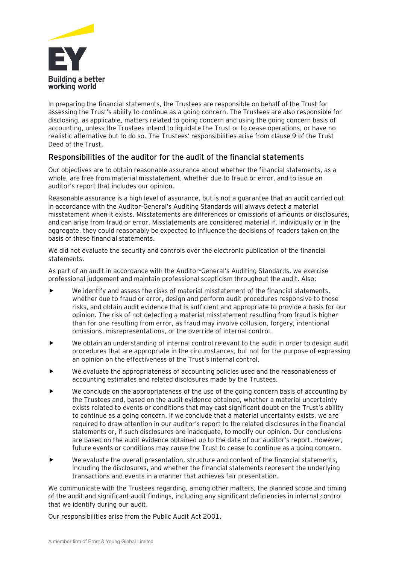

In preparing the financial statements, the Trustees are responsible on behalf of the Trust for assessing the Trust's ability to continue as a going concern. The Trustees are also responsible for disclosing, as applicable, matters related to going concern and using the going concern basis of accounting, unless the Trustees intend to liquidate the Trust or to cease operations, or have no realistic alternative but to do so. The Trustees' responsibilities arise from clause 9 of the Trust Deed of the Trust.

#### **Responsibilities of the auditor for the audit of the financial statements**

Our objectives are to obtain reasonable assurance about whether the financial statements, as a whole, are free from material misstatement, whether due to fraud or error, and to issue an auditor's report that includes our opinion.

Reasonable assurance is a high level of assurance, but is not a guarantee that an audit carried out in accordance with the Auditor-General's Auditing Standards will always detect a material misstatement when it exists. Misstatements are differences or omissions of amounts or disclosures, and can arise from fraud or error. Misstatements are considered material if, individually or in the aggregate, they could reasonably be expected to influence the decisions of readers taken on the basis of these financial statements.

We did not evaluate the security and controls over the electronic publication of the financial statements.

As part of an audit in accordance with the Auditor-General's Auditing Standards, we exercise professional judgement and maintain professional scepticism throughout the audit. Also:

- We identify and assess the risks of material misstatement of the financial statements, whether due to fraud or error, design and perform audit procedures responsive to those risks, and obtain audit evidence that is sufficient and appropriate to provide a basis for our opinion. The risk of not detecting a material misstatement resulting from fraud is higher than for one resulting from error, as fraud may involve collusion, forgery, intentional omissions, misrepresentations, or the override of internal control.
- We obtain an understanding of internal control relevant to the audit in order to design audit procedures that are appropriate in the circumstances, but not for the purpose of expressing an opinion on the effectiveness of the Trust's internal control.
- We evaluate the appropriateness of accounting policies used and the reasonableness of accounting estimates and related disclosures made by the Trustees.
- We conclude on the appropriateness of the use of the going concern basis of accounting by the Trustees and, based on the audit evidence obtained, whether a material uncertainty exists related to events or conditions that may cast significant doubt on the Trust's ability to continue as a going concern. If we conclude that a material uncertainty exists, we are required to draw attention in our auditor's report to the related disclosures in the financial statements or, if such disclosures are inadequate, to modify our opinion. Our conclusions are based on the audit evidence obtained up to the date of our auditor's report. However, future events or conditions may cause the Trust to cease to continue as a going concern.
- We evaluate the overall presentation, structure and content of the financial statements, including the disclosures, and whether the financial statements represent the underlying transactions and events in a manner that achieves fair presentation.

We communicate with the Trustees regarding, among other matters, the planned scope and timing of the audit and significant audit findings, including any significant deficiencies in internal control that we identify during our audit.

Our responsibilities arise from the Public Audit Act 2001.